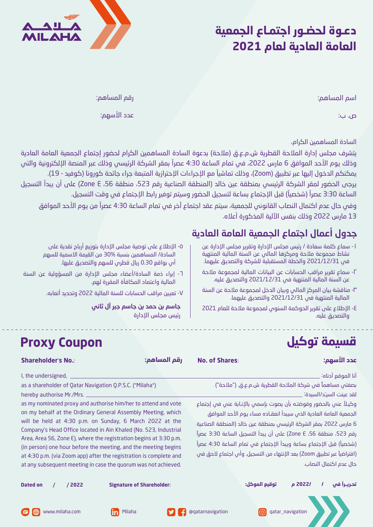## **دعـوة لحضـور اجتمـاع الجمعية العامة العادية لعام 2021**



اسم المساهم:

رقم المساهم:

ص. ب: عدد الأسهم:

السادة المساهمين الكرام،

يتشرف مجلس إدارة الملاحة القطرية ش.م.ع.ق (ملاحة) بدعوة السادة المساهمين الكرام لحضور إجتماع الجمعية العامة العادية وذلك يوم الأحد الموافق 6 مارس 2022، في تمام الساعة 4:30 عصراً بمقر الشركة الرئيسي وذلك عبر المنصة الإلكترونية والتي يمكنكم الدخول إليها عبر تطبيق (Zoom)، وذلك تماشياً مع الإجراءات الإحترازية المتبعة جراء جائحة كورونا (كوفيد - 19). �رجى الحضور لمقر الشركة الرئيسي بمنطقة عين خالد (المنطقة الصناعية رقم ،523 منطقة ،56 E Zone (على أن �بدأ التسجيل الساعة 3:30 عصراً (شخصياً) قبل الإجتماع بساعة لتسجيل الحضور وسيتم توفير رابط الإجتماع في وقت التسجيل.

وفي حال عدم اكتمال النصاب القانوني للجمعية، سيتم عقد اجتماع آخر في تمام الساعة 4:30 ً عص�ا من �وم الأحد الموافق 13 مارس 2022 وذلك بنفس الآلية المذكورة أعلاه.

### جدول أعمال اجتماع الجمعية العامة العادية

- -١ سماع كلمة سعادة / رئيس مجلس الإدارة وتق��ر مجلس الإدارة عن نشاط مجموعة ملاحة ومركزها المالي عن السنة المالية المنتهية في 2021/12/31 والخطة المستقبلية للشركة والتصد�ق عليهما.
- -٢ سماع تق��ر م�اقب الحسابات عن ال�يانات المالية لمجموعة ملاحة عن السنة المالية المنتمية في 2021/12/31 والتصديق عليه.
- -٣ مناقشة �يان المركز المالي و�يان الدخل لمجموعة ملاحة عن السنة المالية المنتهية في 2021/12/31 والتصد�ق عليهما.
- -٤ الإطلاع على تق��ر الحوكمة السنوي لمجموعة ملاحة للعام 2021 والتصد�ق عليه.
- ٥- الإطلاع على توصية مجلس الإدارة بتوزيع أرباح نقدية على السادة/ المساهمين بنسبة 30% من القيمة الاسمية للسهم أي بواقع 0.30 ريال قطري للسهم والتصديق عليها.
- ٦- إبراء ذمة السادة/أعضاء مجلس الإدارة من المسؤولية عن السنة المالية واعتماد المكافأة المق�رة لهم.

**Proxy Coupon**

-٧ تع�ين م�اقب الحسابات للسنة المالية 2022 وتحديد أ�عابه.

جاسم بن حمد بن جاسم جبر آل ثاني رئيس مجلس الإدارة

# **قسيمة توكيل**

| <b>Shareholder's No.:</b>                                                                                                                                                                                                                                                                                                                                                                                                                                                                                                                                                                                                                                         | رقم المساهم:                     | <b>No. of Shares:</b>                                                                                                                                                                                                                                                                                                                                         | عدد الأسهم:                                                                                                                                                                                               |
|-------------------------------------------------------------------------------------------------------------------------------------------------------------------------------------------------------------------------------------------------------------------------------------------------------------------------------------------------------------------------------------------------------------------------------------------------------------------------------------------------------------------------------------------------------------------------------------------------------------------------------------------------------------------|----------------------------------|---------------------------------------------------------------------------------------------------------------------------------------------------------------------------------------------------------------------------------------------------------------------------------------------------------------------------------------------------------------|-----------------------------------------------------------------------------------------------------------------------------------------------------------------------------------------------------------|
| I, the undersigned,<br>as a shareholder of Qatar Navigation Q.P.S.C. ("Milaha")<br>hereby authorise Mr./Mrs. _<br>as my nominated proxy and authorise him/her to attend and vote<br>on my behalf at the Ordinary General Assembly Meeting, which<br>will be held at 4:30 p.m. on Sunday, 6 March 2022 at the<br>Company's Head Office located in Ain Khaled (No. 523, Industrial<br>Area, Area 56, Zone E), where the registration begins at 3:30 p.m.<br>(in person) one hour before the meeting, and the meeting begins<br>at 4:30 p.m. (via Zoom app) after the registration is complete and<br>at any subsequent meeting in case the quorum was not achieved. |                                  | وكيـلاً عنى بالحضور وفوضتـه بأن يصوت بإسمى بالإنـابة عنى فى إجتماع<br>6 مارس 2022 بمقر الشركة الرئيسي بمنطقة عين خالد (المنطقة الصناعية<br>رقم 523، منطقة 56، Zone E) على أن يبدأ التسجيل الساعة 3:30 عصراً<br>(شخصياً) قبل الإجتماع بساعة ويبدأ الإجتماع في تمام الساعة 4:30 عصراً<br>(افتراضياً عبر تطبيق Zoom) بعد الإنتهاء من التسجيل. وأس اجتماع لاحق في | أنا الموقع أدناه:<br>بصفتي مساهماً في شركة الملاحة القطرية ش.م.ع.ق. ("ملاحة")<br>لقد عينت السيـّد/السيدة: ِ<br>الجمعية العامة العادية الذى سيبدأ انعقاده مساء يوم الأحد الموافق<br>حال عدم اكتمال النصاب. |
| <b>Dated on</b><br>/ 2022                                                                                                                                                                                                                                                                                                                                                                                                                                                                                                                                                                                                                                         | <b>Signature of Shareholder:</b> | توقيع الموكل:                                                                                                                                                                                                                                                                                                                                                 | /2022 م<br>تحريرا في                                                                                                                                                                                      |
| www.milaha.com<br>in Milaha<br>8                                                                                                                                                                                                                                                                                                                                                                                                                                                                                                                                                                                                                                  |                                  | <b>C</b> @qatarnavigation<br>രി                                                                                                                                                                                                                                                                                                                               | qatar_navigation                                                                                                                                                                                          |